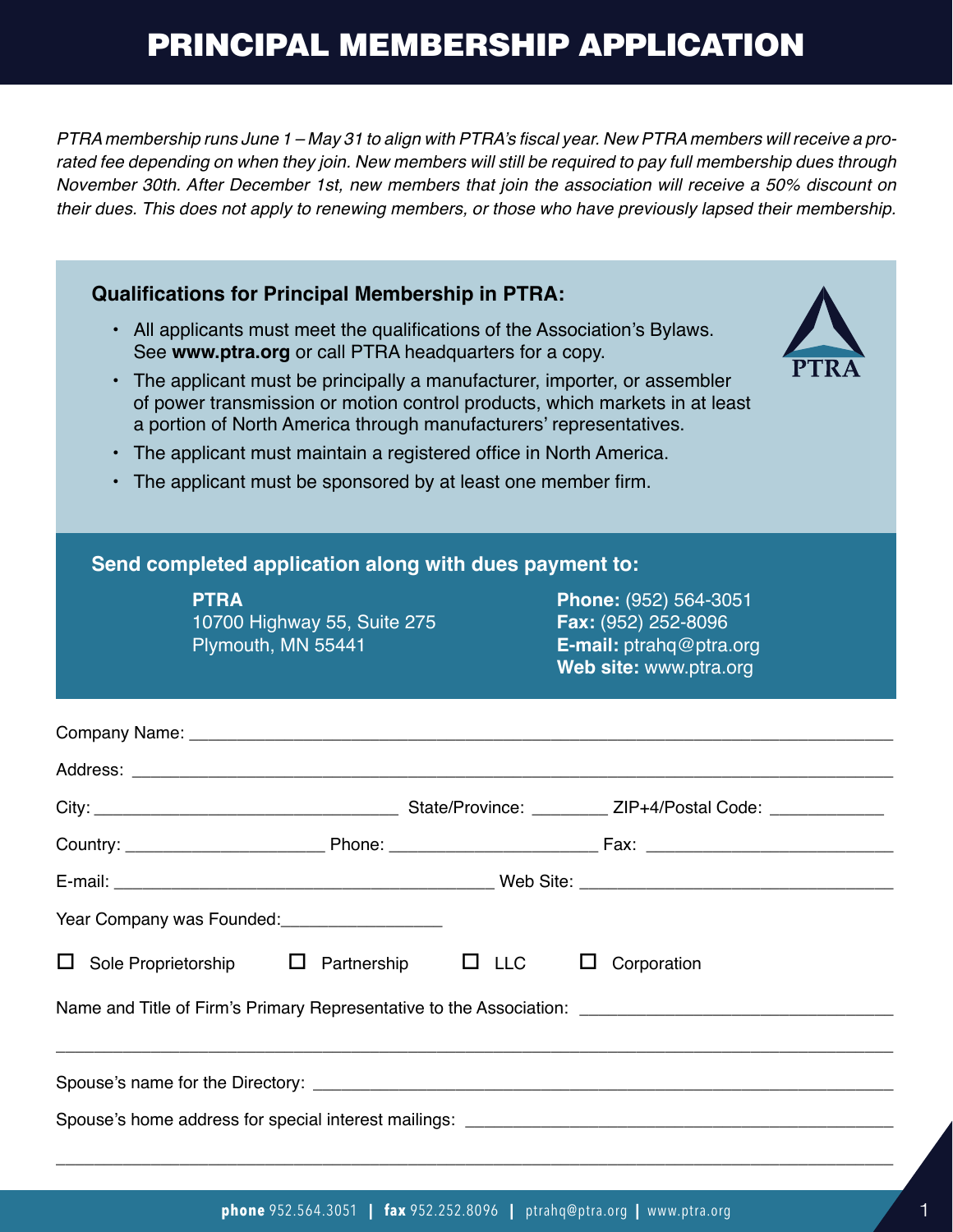## PRINCIPAL MEMBERSHIP APPLICATION

PTRA membership runs June 1 – May 31 to align with PTRA's fiscal year. New PTRA members will receive a prorated fee depending on when they join. New members will still be required to pay full membership dues through November 30th. After December 1st, new members that join the association will receive a 50% discount on their dues. This does not apply to renewing members, or those who have previously lapsed their membership.

| <b>Qualifications for Principal Membership in PTRA:</b><br>All applicants must meet the qualifications of the Association's Bylaws.<br>$\bullet$<br>See www.ptra.org or call PTRA headquarters for a copy.<br>The applicant must be principally a manufacturer, importer, or assembler<br>$\bullet$<br>of power transmission or motion control products, which markets in at least<br>a portion of North America through manufacturers' representatives. |                                                                                                                                                                                                                                |                 |                                                                                                          |  |  |  |  |  |  |  |
|----------------------------------------------------------------------------------------------------------------------------------------------------------------------------------------------------------------------------------------------------------------------------------------------------------------------------------------------------------------------------------------------------------------------------------------------------------|--------------------------------------------------------------------------------------------------------------------------------------------------------------------------------------------------------------------------------|-----------------|----------------------------------------------------------------------------------------------------------|--|--|--|--|--|--|--|
| The applicant must maintain a registered office in North America.<br>$\bullet$<br>The applicant must be sponsored by at least one member firm.<br>$\bullet$                                                                                                                                                                                                                                                                                              |                                                                                                                                                                                                                                |                 |                                                                                                          |  |  |  |  |  |  |  |
| Send completed application along with dues payment to:                                                                                                                                                                                                                                                                                                                                                                                                   |                                                                                                                                                                                                                                |                 |                                                                                                          |  |  |  |  |  |  |  |
|                                                                                                                                                                                                                                                                                                                                                                                                                                                          | <b>PTRA</b><br>10700 Highway 55, Suite 275<br>Plymouth, MN 55441                                                                                                                                                               |                 | Phone: (952) 564-3051<br><b>Fax:</b> (952) 252-8096<br>E-mail: ptrahq@ptra.org<br>Web site: www.ptra.org |  |  |  |  |  |  |  |
|                                                                                                                                                                                                                                                                                                                                                                                                                                                          |                                                                                                                                                                                                                                |                 |                                                                                                          |  |  |  |  |  |  |  |
|                                                                                                                                                                                                                                                                                                                                                                                                                                                          |                                                                                                                                                                                                                                |                 |                                                                                                          |  |  |  |  |  |  |  |
|                                                                                                                                                                                                                                                                                                                                                                                                                                                          |                                                                                                                                                                                                                                |                 |                                                                                                          |  |  |  |  |  |  |  |
|                                                                                                                                                                                                                                                                                                                                                                                                                                                          |                                                                                                                                                                                                                                |                 |                                                                                                          |  |  |  |  |  |  |  |
|                                                                                                                                                                                                                                                                                                                                                                                                                                                          |                                                                                                                                                                                                                                |                 |                                                                                                          |  |  |  |  |  |  |  |
|                                                                                                                                                                                                                                                                                                                                                                                                                                                          | Year Company was Founded: \\connect_{\sigma_{\sigma_{\sigma_{\sigma_{\sigma_{\sigma_{\sigma_{\sigma_{\sigma_{\sigma_{\sigma_{\sigma_{\sigma_{\sigma_{\sigma_{\sigma_{\sigma_{\sigma_{\sigma_{\sigma_{\sigma_{\sigma_{\sigma_{\ |                 |                                                                                                          |  |  |  |  |  |  |  |
| Sole Proprietorship<br>⊔                                                                                                                                                                                                                                                                                                                                                                                                                                 | Partnership                                                                                                                                                                                                                    | <b>LLC</b><br>ப | Corporation<br>□                                                                                         |  |  |  |  |  |  |  |
|                                                                                                                                                                                                                                                                                                                                                                                                                                                          |                                                                                                                                                                                                                                |                 |                                                                                                          |  |  |  |  |  |  |  |
|                                                                                                                                                                                                                                                                                                                                                                                                                                                          |                                                                                                                                                                                                                                |                 |                                                                                                          |  |  |  |  |  |  |  |
|                                                                                                                                                                                                                                                                                                                                                                                                                                                          |                                                                                                                                                                                                                                |                 |                                                                                                          |  |  |  |  |  |  |  |

\_\_\_\_\_\_\_\_\_\_\_\_\_\_\_\_\_\_\_\_\_\_\_\_\_\_\_\_\_\_\_\_\_\_\_\_\_\_\_\_\_\_\_\_\_\_\_\_\_\_\_\_\_\_\_\_\_\_\_\_\_\_\_\_\_\_\_\_\_\_\_\_\_\_\_\_\_\_\_\_\_\_\_\_\_\_\_\_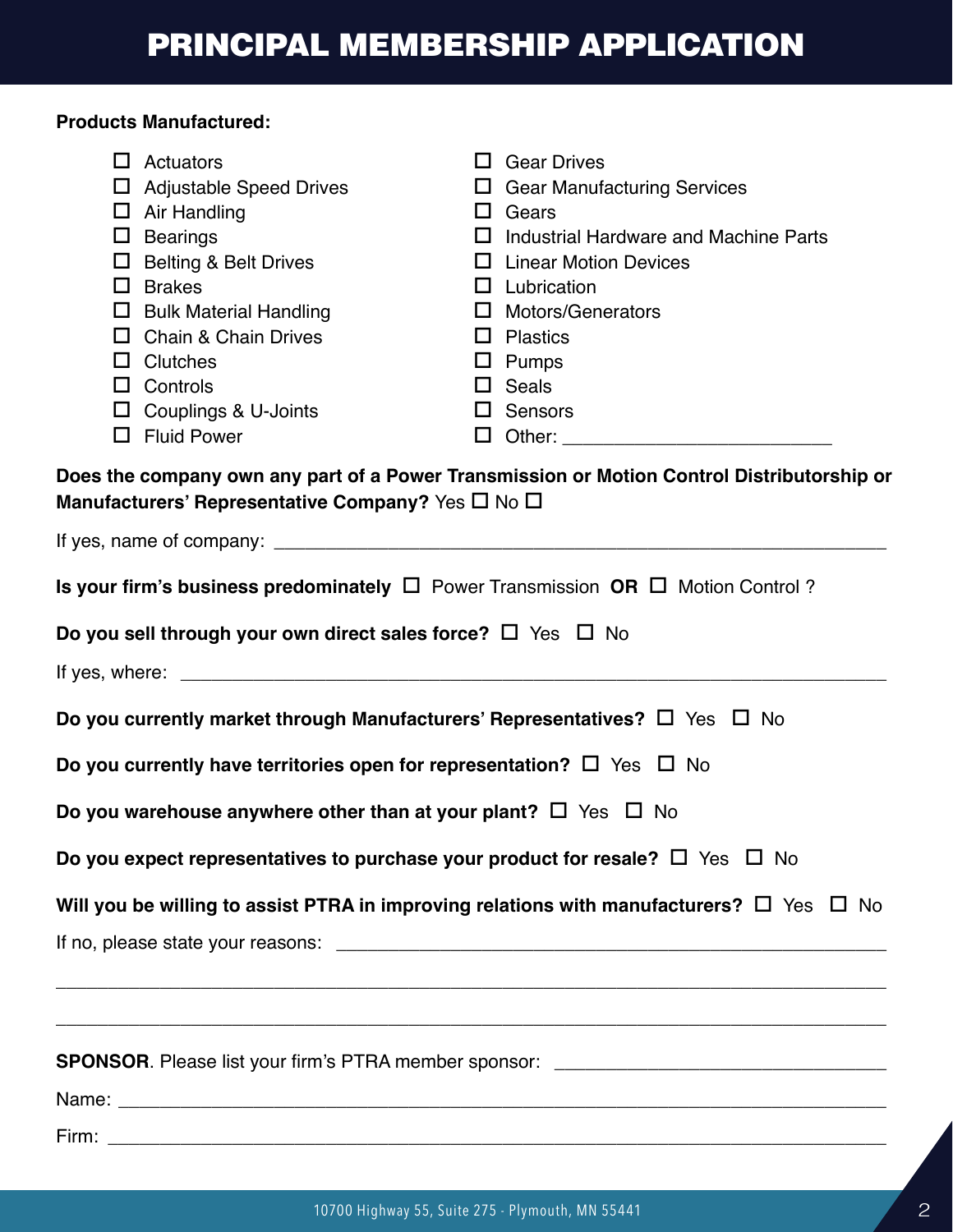## **Products Manufactured:**

| ш                                                                                                                                                                                                                                    | Actuators<br>$\Box$ Adjustable Speed Drives<br>$\Box$ Air Handling<br>$\Box$ Bearings<br>$\Box$ Belting & Belt Drives<br>$\Box$ Brakes<br>$\Box$ Bulk Material Handling<br>$\Box$ Chain & Chain Drives<br>$\Box$ Clutches<br>$\Box$ Controls<br>$\Box$ Couplings & U-Joints<br>$\Box$ Fluid Power | $\Box$<br>LI.<br>Ш<br>LI.<br>ப<br>0 | <b>Gear Drives</b><br>$\Box$ Gear Manufacturing Services<br>Gears<br>Industrial Hardware and Machine Parts<br><b>Linear Motion Devices</b><br>Lubrication<br><b>Motors/Generators</b><br>$\Box$ Plastics<br>$\Box$ Pumps<br>$\Box$ Seals<br>$\Box$ Sensors<br>Does the company own any part of a Power Transmission or Motion Control Distributorship or |  |  |  |  |  |
|--------------------------------------------------------------------------------------------------------------------------------------------------------------------------------------------------------------------------------------|---------------------------------------------------------------------------------------------------------------------------------------------------------------------------------------------------------------------------------------------------------------------------------------------------|-------------------------------------|----------------------------------------------------------------------------------------------------------------------------------------------------------------------------------------------------------------------------------------------------------------------------------------------------------------------------------------------------------|--|--|--|--|--|
|                                                                                                                                                                                                                                      | Manufacturers' Representative Company? Yes $\Box$ No $\Box$                                                                                                                                                                                                                                       |                                     |                                                                                                                                                                                                                                                                                                                                                          |  |  |  |  |  |
|                                                                                                                                                                                                                                      |                                                                                                                                                                                                                                                                                                   |                                     |                                                                                                                                                                                                                                                                                                                                                          |  |  |  |  |  |
|                                                                                                                                                                                                                                      | <b>Is your firm's business predominately <math>\Box</math></b> Power Transmission <b>OR</b> $\Box$ Motion Control?                                                                                                                                                                                |                                     |                                                                                                                                                                                                                                                                                                                                                          |  |  |  |  |  |
| Do you sell through your own direct sales force? $\Box$ Yes $\ \Box$ No                                                                                                                                                              |                                                                                                                                                                                                                                                                                                   |                                     |                                                                                                                                                                                                                                                                                                                                                          |  |  |  |  |  |
| If yes, where: <u>the contract of the contract of the contract of the contract of the contract of the contract of the contract of the contract of the contract of the contract of the contract of the contract of the contract o</u> |                                                                                                                                                                                                                                                                                                   |                                     |                                                                                                                                                                                                                                                                                                                                                          |  |  |  |  |  |
| Do you currently market through Manufacturers' Representatives? $\Box$ Yes $\Box$ No                                                                                                                                                 |                                                                                                                                                                                                                                                                                                   |                                     |                                                                                                                                                                                                                                                                                                                                                          |  |  |  |  |  |
| Do you currently have territories open for representation? $\Box$ Yes $\Box$ No                                                                                                                                                      |                                                                                                                                                                                                                                                                                                   |                                     |                                                                                                                                                                                                                                                                                                                                                          |  |  |  |  |  |
| Do you warehouse anywhere other than at your plant? $\Box$ Yes $\Box$ No                                                                                                                                                             |                                                                                                                                                                                                                                                                                                   |                                     |                                                                                                                                                                                                                                                                                                                                                          |  |  |  |  |  |
| Do you expect representatives to purchase your product for resale? $\Box$ Yes $\Box$ No                                                                                                                                              |                                                                                                                                                                                                                                                                                                   |                                     |                                                                                                                                                                                                                                                                                                                                                          |  |  |  |  |  |
| Will you be willing to assist PTRA in improving relations with manufacturers? $\Box$ Yes $\ \Box$ No                                                                                                                                 |                                                                                                                                                                                                                                                                                                   |                                     |                                                                                                                                                                                                                                                                                                                                                          |  |  |  |  |  |
|                                                                                                                                                                                                                                      |                                                                                                                                                                                                                                                                                                   |                                     |                                                                                                                                                                                                                                                                                                                                                          |  |  |  |  |  |
|                                                                                                                                                                                                                                      |                                                                                                                                                                                                                                                                                                   |                                     | <u> 1989 - Johann Harry Harry Harry Harry Harry Harry Harry Harry Harry Harry Harry Harry Harry Harry Harry Harry</u>                                                                                                                                                                                                                                    |  |  |  |  |  |
|                                                                                                                                                                                                                                      |                                                                                                                                                                                                                                                                                                   |                                     |                                                                                                                                                                                                                                                                                                                                                          |  |  |  |  |  |
| SPONSOR. Please list your firm's PTRA member sponsor: __________________________                                                                                                                                                     |                                                                                                                                                                                                                                                                                                   |                                     |                                                                                                                                                                                                                                                                                                                                                          |  |  |  |  |  |
|                                                                                                                                                                                                                                      |                                                                                                                                                                                                                                                                                                   |                                     |                                                                                                                                                                                                                                                                                                                                                          |  |  |  |  |  |

Firm: \_\_\_\_\_\_\_\_\_\_\_\_\_\_\_\_\_\_\_\_\_\_\_\_\_\_\_\_\_\_\_\_\_\_\_\_\_\_\_\_\_\_\_\_\_\_\_\_\_\_\_\_\_\_\_\_\_\_\_\_\_\_\_\_\_\_\_\_\_\_\_\_\_\_\_